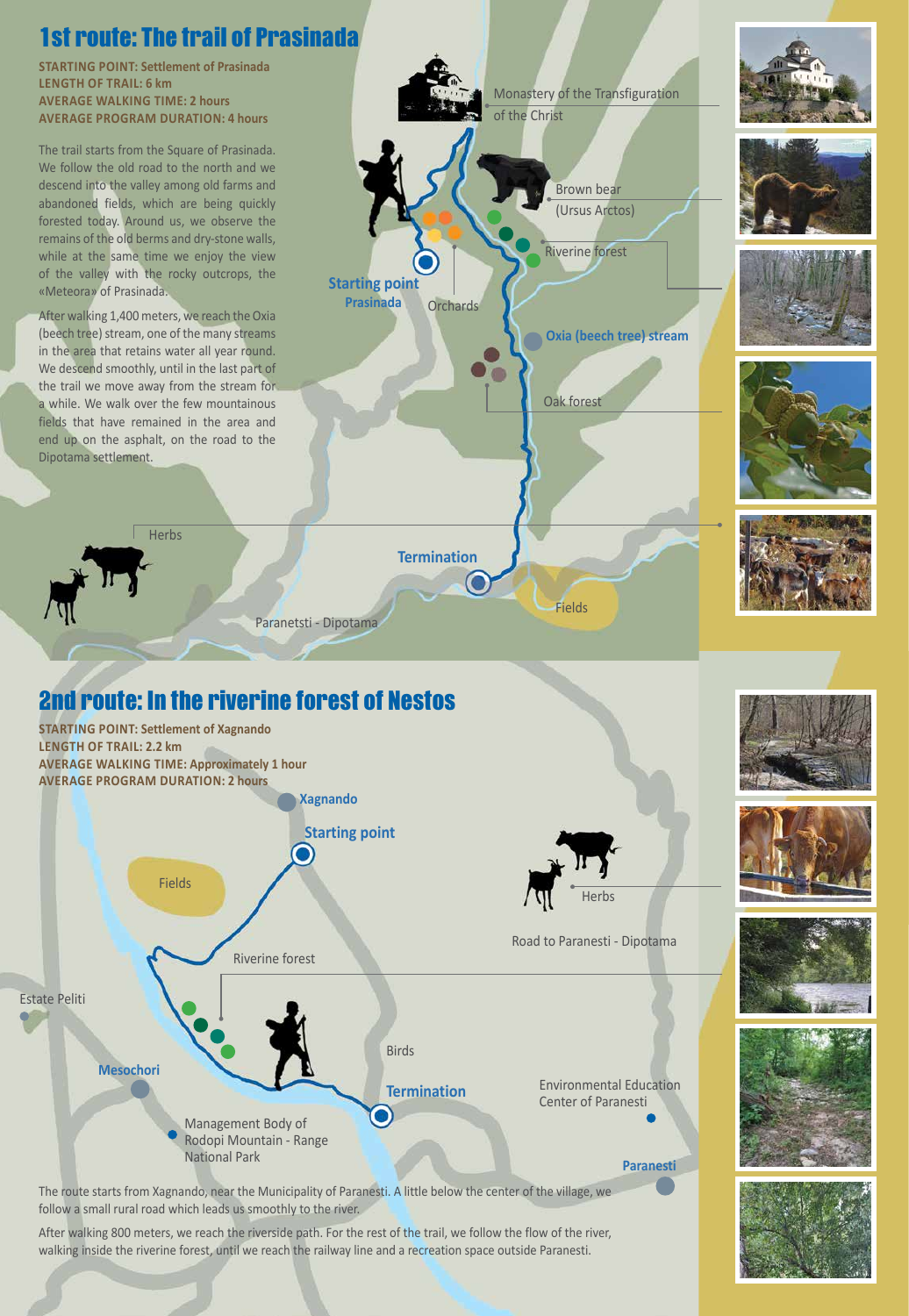# 2nd route: In the riverine forest of Nestos

The route starts from Xagnando, near the Municipality of Paranesti. A little below the center of the village, we follow a small rural road which leads us smoothly to the river.

After walking 800 meters, we reach the riverside path. For the rest of the trail, we follow the flow of the river, walking inside the riverine forest, until we reach the railway line and a recreation space outside Paranesti.



**Starting point Prasinada Herbs Orchards** 

Fields

**Starting point Xagnando STARTING POINT: Settlement of Xagnando LENGTH OF TRAIL: 2.2 km AVERAGE WALKING TIME: Approximately 1 hour AVERAGE PROGRAM DURATION: 2 hours**



Road to Paranesti - Dipotama









Riverine forest

# 1st route: The trail of Prasinada

**STARTING POINT: Settlement of Prasinada LENGTH OF TRAIL: 6 km AVERAGE WALKING TIME: 2 hours AVERAGE PROGRAM DURATION: 4 hours** 

**Termination** 











Fields

Oak forest

Riverine forest

Paranetsti - Dipotama

**Oxia (beech tree) stream**

Brown bear

(Ursus Arctos)

The trail starts from the Square of Prasinada. We follow the old road to the north and we descend into the valley among old farms and abandoned fields, which are being quickly forested today. Around us, we observe the remains of the old berms and dry-stone walls, while at the same time we enjoy the view of the valley with the rocky outcrops, the «Meteora» of Prasinada.

After walking 1,400 meters, we reach the Oxia (beech tree) stream, one of the many streams in the area that retains water all year round. We descend smoothly, until in the last part of the trail we move away from the stream for a while. We walk over the few mountainous fields that have remained in the area and end up on the asphalt, on the road to the Dipotama settlement.

Monastery of the Transfiguration

of the Christ